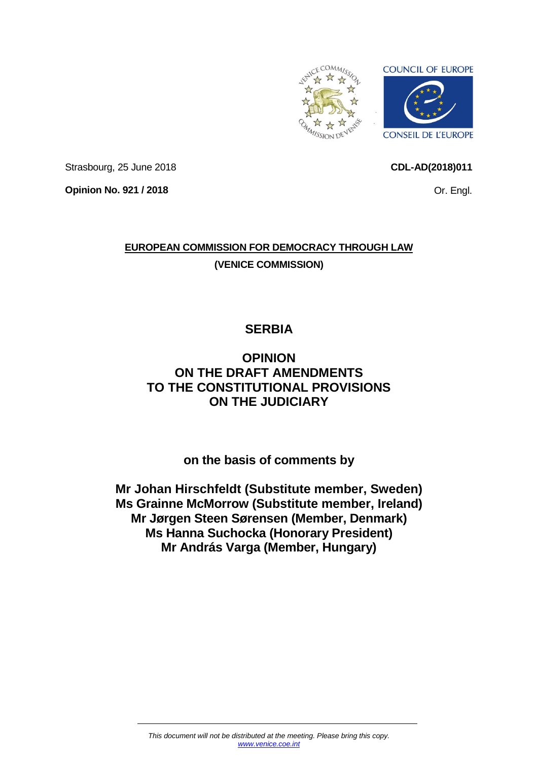<span id="page-0-0"></span>

**CDL-AD(2018)011**

Or. Engl.

Strasbourg, 25 June 2018

**Opinion No. 921 / 2018**

**EUROPEAN COMMISSION FOR DEMOCRACY THROUGH LAW (VENICE COMMISSION)**

# **SERBIA**

# **OPINION ON THE DRAFT AMENDMENTS TO THE CONSTITUTIONAL PROVISIONS ON THE JUDICIARY**

**on the basis of comments by**

**Mr Johan Hirschfeldt (Substitute member, Sweden) Ms Grainne McMorrow (Substitute member, Ireland) Mr Jørgen Steen Sørensen (Member, Denmark) Ms Hanna Suchocka (Honorary President) Mr András Varga (Member, Hungary)**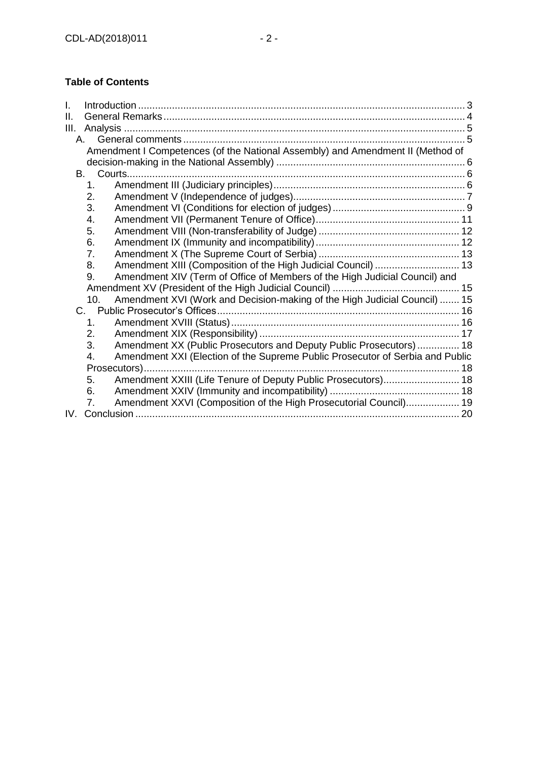# **Table of Contents**

| I.   |                                                                                     |  |
|------|-------------------------------------------------------------------------------------|--|
| ΙΙ.  |                                                                                     |  |
| Ш.   |                                                                                     |  |
|      | A.                                                                                  |  |
|      | Amendment I Competences (of the National Assembly) and Amendment II (Method of      |  |
| B. . |                                                                                     |  |
|      | 1.                                                                                  |  |
|      | 2.                                                                                  |  |
|      | 3.                                                                                  |  |
|      | 4.                                                                                  |  |
|      | 5.                                                                                  |  |
|      | 6.                                                                                  |  |
|      | 7.                                                                                  |  |
|      |                                                                                     |  |
|      | Amendment XIII (Composition of the High Judicial Council)  13<br>8.                 |  |
|      | Amendment XIV (Term of Office of Members of the High Judicial Council) and<br>9.    |  |
|      |                                                                                     |  |
|      | Amendment XVI (Work and Decision-making of the High Judicial Council)  15<br>10.    |  |
|      |                                                                                     |  |
|      | $\mathbf{1}$ .                                                                      |  |
|      | 2.                                                                                  |  |
|      | Amendment XX (Public Prosecutors and Deputy Public Prosecutors) 18<br>3.            |  |
|      | Amendment XXI (Election of the Supreme Public Prosecutor of Serbia and Public<br>4. |  |
|      | Prosecutors)                                                                        |  |
|      | Amendment XXIII (Life Tenure of Deputy Public Prosecutors) 18<br>5.                 |  |
|      | 6.                                                                                  |  |
|      | Amendment XXVI (Composition of the High Prosecutorial Council) 19<br>7.             |  |
| IV.  |                                                                                     |  |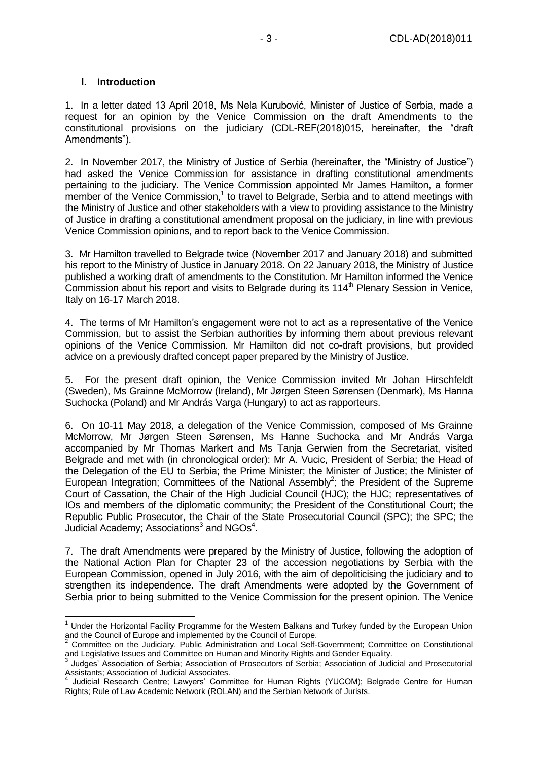#### <span id="page-2-0"></span>**I. Introduction**

-

1. In a letter dated 13 April 2018, Ms Nela Kurubović, Minister of Justice of Serbia, made a request for an opinion by the Venice Commission on the draft Amendments to the constitutional provisions on the judiciary (CDL-REF(2018)015, hereinafter, the "draft Amendments").

2. In November 2017, the Ministry of Justice of Serbia (hereinafter, the "Ministry of Justice") had asked the Venice Commission for assistance in drafting constitutional amendments pertaining to the judiciary. The Venice Commission appointed Mr James Hamilton, a former member of the Venice Commission,<sup>1</sup> to travel to Belgrade, Serbia and to attend meetings with the Ministry of Justice and other stakeholders with a view to providing assistance to the Ministry of Justice in drafting a constitutional amendment proposal on the judiciary, in line with previous Venice Commission opinions, and to report back to the Venice Commission.

3. Mr Hamilton travelled to Belgrade twice (November 2017 and January 2018) and submitted his report to the Ministry of Justice in January 2018. On 22 January 2018, the Ministry of Justice published a working draft of amendments to the Constitution. Mr Hamilton informed the Venice Commission about his report and visits to Belgrade during its 114<sup>th</sup> Plenary Session in Venice, Italy on 16-17 March 2018.

4. The terms of Mr Hamilton's engagement were not to act as a representative of the Venice Commission, but to assist the Serbian authorities by informing them about previous relevant opinions of the Venice Commission. Mr Hamilton did not co-draft provisions, but provided advice on a previously drafted concept paper prepared by the Ministry of Justice.

5. For the present draft opinion, the Venice Commission invited Mr Johan Hirschfeldt (Sweden), Ms Grainne McMorrow (Ireland), Mr Jørgen Steen Sørensen (Denmark), Ms Hanna Suchocka (Poland) and Mr András Varga (Hungary) to act as rapporteurs.

6. On 10-11 May 2018, a delegation of the Venice Commission, composed of Ms Grainne McMorrow, Mr Jørgen Steen Sørensen, Ms Hanne Suchocka and Mr András Varga accompanied by Mr Thomas Markert and Ms Tanja Gerwien from the Secretariat, visited Belgrade and met with (in chronological order): Mr A. Vucic, President of Serbia; the Head of the Delegation of the EU to Serbia; the Prime Minister; the Minister of Justice; the Minister of European Integration; Committees of the National Assembly<sup>2</sup>; the President of the Supreme Court of Cassation, the Chair of the High Judicial Council (HJC); the HJC; representatives of IOs and members of the diplomatic community; the President of the Constitutional Court; the Republic Public Prosecutor, the Chair of the State Prosecutorial Council (SPC); the SPC; the Judicial Academy; Associations<sup>3</sup> and NGOs<sup>4</sup>.

7. The draft Amendments were prepared by the Ministry of Justice, following the adoption of the National Action Plan for Chapter 23 of the accession negotiations by Serbia with the European Commission, opened in July 2016, with the aim of depoliticising the judiciary and to strengthen its independence. The draft Amendments were adopted by the Government of Serbia prior to being submitted to the Venice Commission for the present opinion. The Venice

<sup>&</sup>lt;sup>1</sup> Under the Horizontal Facility Programme for the Western Balkans and Turkey funded by the European Union and the Council of Europe and implemented by the Council of Europe.

<sup>2</sup> Committee on the Judiciary, Public Administration and Local Self-Government; Committee on Constitutional

and Legislative Issues and Committee on Human and Minority Rights and Gender Equality.<br><sup>3</sup> Judges' Association of Serbia; Association of Prosecutors of Serbia; Association of Judicial and Prosecutorial Assistants; Association of Judicial Associates. 4

Judicial Research Centre; Lawyers' Committee for Human Rights (YUCOM); Belgrade Centre for Human Rights; Rule of Law Academic Network (ROLAN) and the Serbian Network of Jurists.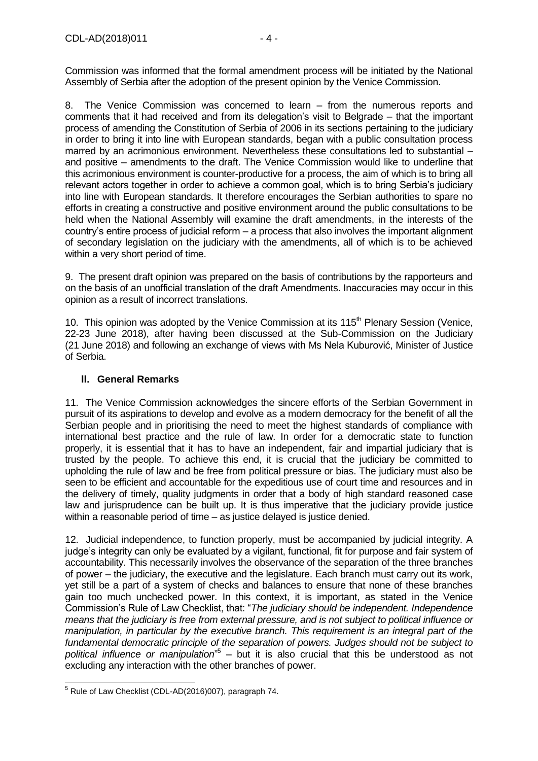8. The Venice Commission was concerned to learn – from the numerous reports and comments that it had received and from its delegation's visit to Belgrade – that the important process of amending the Constitution of Serbia of 2006 in its sections pertaining to the judiciary in order to bring it into line with European standards, began with a public consultation process marred by an acrimonious environment. Nevertheless these consultations led to substantial – and positive – amendments to the draft. The Venice Commission would like to underline that this acrimonious environment is counter-productive for a process, the aim of which is to bring all relevant actors together in order to achieve a common goal, which is to bring Serbia's judiciary into line with European standards. It therefore encourages the Serbian authorities to spare no efforts in creating a constructive and positive environment around the public consultations to be held when the National Assembly will examine the draft amendments, in the interests of the country's entire process of judicial reform – a process that also involves the important alignment of secondary legislation on the judiciary with the amendments, all of which is to be achieved within a very short period of time.

9. The present draft opinion was prepared on the basis of contributions by the rapporteurs and on the basis of an unofficial translation of the draft Amendments. Inaccuracies may occur in this opinion as a result of incorrect translations.

10. This opinion was adopted by the Venice Commission at its 115<sup>th</sup> Plenary Session (Venice, 22-23 June 2018), after having been discussed at the Sub-Commission on the Judiciary (21 June 2018) and following an exchange of views with Ms Nela Kuburović, Minister of Justice of Serbia.

### <span id="page-3-0"></span>**II. General Remarks**

11. The Venice Commission acknowledges the sincere efforts of the Serbian Government in pursuit of its aspirations to develop and evolve as a modern democracy for the benefit of all the Serbian people and in prioritising the need to meet the highest standards of compliance with international best practice and the rule of law. In order for a democratic state to function properly, it is essential that it has to have an independent, fair and impartial judiciary that is trusted by the people. To achieve this end, it is crucial that the judiciary be committed to upholding the rule of law and be free from political pressure or bias. The judiciary must also be seen to be efficient and accountable for the expeditious use of court time and resources and in the delivery of timely, quality judgments in order that a body of high standard reasoned case law and jurisprudence can be built up. It is thus imperative that the judiciary provide justice within a reasonable period of time – as justice delayed is justice denied.

12. Judicial independence, to function properly, must be accompanied by judicial integrity. A judge's integrity can only be evaluated by a vigilant, functional, fit for purpose and fair system of accountability. This necessarily involves the observance of the separation of the three branches of power – the judiciary, the executive and the legislature. Each branch must carry out its work, yet still be a part of a system of checks and balances to ensure that none of these branches gain too much unchecked power. In this context, it is important, as stated in the Venice Commission's Rule of Law Checklist, that: "*The judiciary should be independent. Independence means that the judiciary is free from external pressure, and is not subject to political influence or manipulation, in particular by the executive branch. This requirement is an integral part of the fundamental democratic principle of the separation of powers. Judges should not be subject to political influence or manipulation*" 5 – but it is also crucial that this be understood as not excluding any interaction with the other branches of power.

<sup>&</sup>lt;sup>5</sup> Rule of Law Checklist (CDL-AD(2016)007), paragraph 74.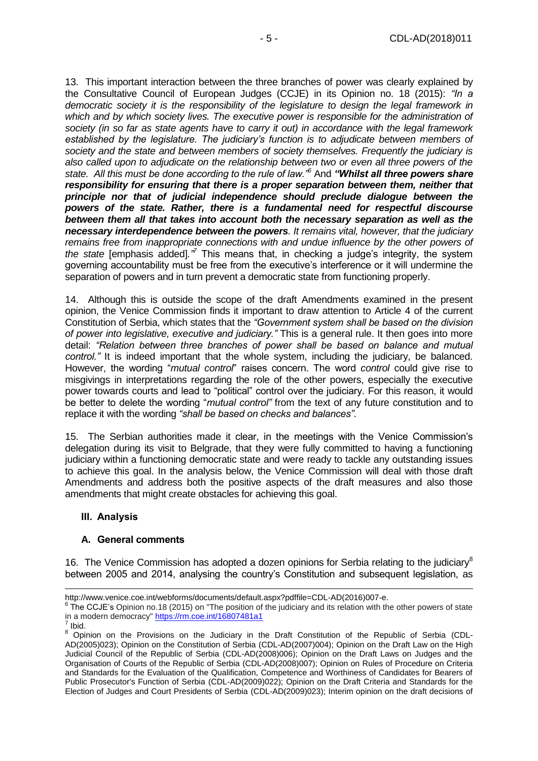13. This important interaction between the three branches of power was clearly explained by the Consultative Council of European Judges (CCJE) in its Opinion no. 18 (2015): *"In a democratic society it is the responsibility of the legislature to design the legal framework in which and by which society lives. The executive power is responsible for the administration of society (in so far as state agents have to carry it out) in accordance with the legal framework established by the legislature. The judiciary's function is to adjudicate between members of society and the state and between members of society themselves. Frequently the judiciary is also called upon to adjudicate on the relationship between two or even all three powers of the state. All this must be done according to the rule of law."<sup>6</sup>* And *"Whilst all three powers share responsibility for ensuring that there is a proper separation between them, neither that principle nor that of judicial independence should preclude dialogue between the powers of the state. Rather, there is a fundamental need for respectful discourse between them all that takes into account both the necessary separation as well as the necessary interdependence between the powers. It remains vital, however, that the judiciary remains free from inappropriate connections with and undue influence by the other powers of the state* [emphasis added]*."<sup>7</sup>* This means that, in checking a judge's integrity, the system governing accountability must be free from the executive's interference or it will undermine the separation of powers and in turn prevent a democratic state from functioning properly.

14. Although this is outside the scope of the draft Amendments examined in the present opinion, the Venice Commission finds it important to draw attention to Article 4 of the current Constitution of Serbia, which states that the *"Government system shall be based on the division of power into legislative, executive and judiciary."* This is a general rule. It then goes into more detail: *"Relation between three branches of power shall be based on balance and mutual control."* It is indeed important that the whole system, including the judiciary, be balanced. However, the wording "*mutual control*" raises concern. The word *control* could give rise to misgivings in interpretations regarding the role of the other powers, especially the executive power towards courts and lead to "political" control over the judiciary. For this reason, it would be better to delete the wording "*mutual control"* from the text of any future constitution and to replace it with the wording *"shall be based on checks and balances"*.

15. The Serbian authorities made it clear, in the meetings with the Venice Commission's delegation during its visit to Belgrade, that they were fully committed to having a functioning judiciary within a functioning democratic state and were ready to tackle any outstanding issues to achieve this goal. In the analysis below, the Venice Commission will deal with those draft Amendments and address both the positive aspects of the draft measures and also those amendments that might create obstacles for achieving this goal.

#### <span id="page-4-0"></span>**III. Analysis**

#### <span id="page-4-1"></span>**A. General comments**

16. The Venice Commission has adopted a dozen opinions for Serbia relating to the judiciary<sup>8</sup> between 2005 and 2014, analysing the country's Constitution and subsequent legislation, as

[http://www.venice.coe.int/webforms/documents/default.aspx?pdffile=CDL-AD\(2016\)007-e.](http://www.venice.coe.int/webforms/documents/default.aspx?pdffile=CDL-AD(2016)007-e)

 $6$  The CCJE's Opinion no.18 (2015) on "The position of the judiciary and its relation with the other powers of state in a modern democracy" <u>https://rm.coe.int/16807481a1</u><br><sup>7</sup> Ibid

Ibid.

<sup>8</sup> [Opinion on the Provisions on the Judiciary in the Draft Constitution of the Republic of Serbia](http://www.venice.coe.int/webforms/documents/?pdf=CDL-AD(2005)023-e) (CDL-AD(2005)023); [Opinion on the Constitution of Serbia](http://www.venice.coe.int/webforms/documents/?pdf=CDL-AD(2007)004-e) (CDL-AD(2007)004); [Opinion on the Draft Law on the High](http://www.venice.coe.int/webforms/documents/?pdf=CDL-AD(2008)006-e)  [Judicial Council of the Republic of Serbia](http://www.venice.coe.int/webforms/documents/?pdf=CDL-AD(2008)006-e) (CDL-AD(2008)006); [Opinion on the Draft Laws on Judges and the](http://www.venice.coe.int/webforms/documents/?pdf=CDL-AD(2008)007-e)  [Organisation of Courts of the Republic of Serbia](http://www.venice.coe.int/webforms/documents/?pdf=CDL-AD(2008)007-e) (CDL-AD(2008)007); [Opinion on Rules of Procedure on Criteria](http://www.venice.coe.int/webforms/documents/?pdf=CDL-AD(2009)022-e)  [and Standards for the Evaluation of the Qualification, Competence and Worthiness of Candidates for Bearers of](http://www.venice.coe.int/webforms/documents/?pdf=CDL-AD(2009)022-e)  [Public Prosecutor's Function of Serbia \(](http://www.venice.coe.int/webforms/documents/?pdf=CDL-AD(2009)022-e)CDL-AD(2009)022); [Opinion on the Draft Criteria and Standards for the](http://www.venice.coe.int/webforms/documents/?pdf=CDL-AD(2009)023-e)  [Election of Judges and Court Presidents of Serbia](http://www.venice.coe.int/webforms/documents/?pdf=CDL-AD(2009)023-e) (CDL-AD(2009)023); [Interim opinion on the draft decisions of](http://www.venice.coe.int/webforms/documents/?pdf=CDL-AD(2011)015-e)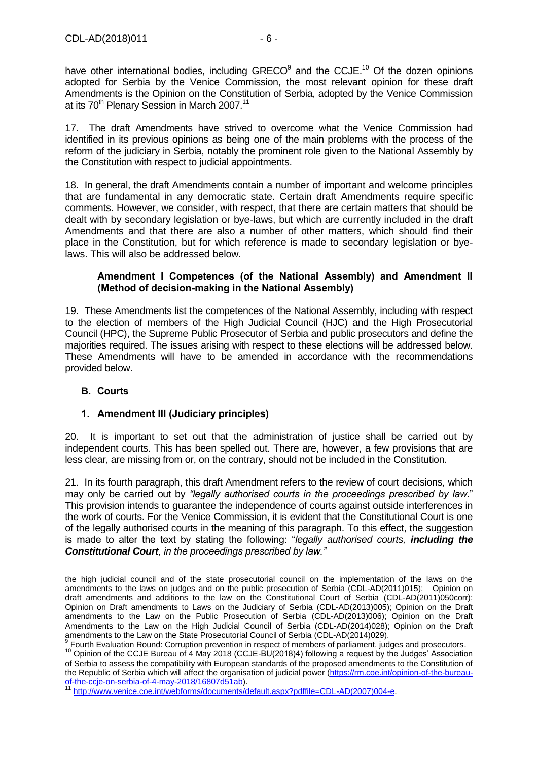have other international bodies, including  $GRECO<sup>9</sup>$  and the CCJE.<sup>10</sup> Of the dozen opinions adopted for Serbia by the Venice Commission, the most relevant opinion for these draft Amendments is the Opinion on the Constitution of Serbia, adopted by the Venice Commission at its 70<sup>th</sup> Plenary Session in March 2007.<sup>11</sup>

17. The draft Amendments have strived to overcome what the Venice Commission had identified in its previous opinions as being one of the main problems with the process of the reform of the judiciary in Serbia, notably the prominent role given to the National Assembly by the Constitution with respect to judicial appointments.

18. In general, the draft Amendments contain a number of important and welcome principles that are fundamental in any democratic state. Certain draft Amendments require specific comments. However, we consider, with respect, that there are certain matters that should be dealt with by secondary legislation or bye-laws, but which are currently included in the draft Amendments and that there are also a number of other matters, which should find their place in the Constitution, but for which reference is made to secondary legislation or byelaws. This will also be addressed below.

### <span id="page-5-0"></span>**Amendment I Competences (of the National Assembly) and Amendment II (Method of decision-making in the National Assembly)**

19. These Amendments list the competences of the National Assembly, including with respect to the election of members of the High Judicial Council (HJC) and the High Prosecutorial Council (HPC), the Supreme Public Prosecutor of Serbia and public prosecutors and define the majorities required. The issues arising with respect to these elections will be addressed below. These Amendments will have to be amended in accordance with the recommendations provided below.

# <span id="page-5-1"></span>**B. Courts**

-

# <span id="page-5-2"></span>**1. Amendment III (Judiciary principles)**

20. It is important to set out that the administration of justice shall be carried out by independent courts. This has been spelled out. There are, however, a few provisions that are less clear, are missing from or, on the contrary, should not be included in the Constitution.

21. In its fourth paragraph, this draft Amendment refers to the review of court decisions, which may only be carried out by *"legally authorised courts in the proceedings prescribed by law*." This provision intends to guarantee the independence of courts against outside interferences in the work of courts. For the Venice Commission, it is evident that the Constitutional Court is one of the legally authorised courts in the meaning of this paragraph. To this effect, the suggestion is made to alter the text by stating the following: "*legally authorised courts, including the Constitutional Court, in the proceedings prescribed by law."* 

[the high judicial council and of the state prosecutorial council on the implementation of the laws on the](http://www.venice.coe.int/webforms/documents/?pdf=CDL-AD(2011)015-e)  [amendments to the laws on judges and on the public prosecution of Serbia \(CDL-AD\(2011\)015\);](http://www.venice.coe.int/webforms/documents/?pdf=CDL-AD(2011)015-e) [Opinion on](http://www.venice.coe.int/webforms/documents/?pdf=CDL-AD(2011)050cor-e)  [draft amendments and additions to the law on the Constitutional Court of Serbia](http://www.venice.coe.int/webforms/documents/?pdf=CDL-AD(2011)050cor-e) (CDL-AD(2011)050corr); [Opinion on Draft amendments to Laws on the Judiciary of Serbia](http://www.venice.coe.int/webforms/documents/?pdf=CDL-AD(2013)005-e) (CDL-AD(2013)005); [Opinion on the Draft](http://www.venice.coe.int/webforms/documents/?pdf=CDL-AD(2013)006-e)  [amendments to the Law on the Public Prosecution of Serbia](http://www.venice.coe.int/webforms/documents/?pdf=CDL-AD(2013)006-e) (CDL-AD(2013)006); [Opinion on the Draft](http://www.venice.coe.int/webforms/documents/?pdf=CDL-AD(2014)028-e)  [Amendments to the Law on the High Judicial Council of Serbia](http://www.venice.coe.int/webforms/documents/?pdf=CDL-AD(2014)028-e) (CDL-AD(2014)028); [Opinion on the Draft](http://www.venice.coe.int/webforms/documents/?pdf=CDL-AD(2014)029-e)  [amendments to the Law on the State Prosecutorial Council of Serbia](http://www.venice.coe.int/webforms/documents/?pdf=CDL-AD(2014)029-e) (CDL-AD(2014)029).<br><sup>9</sup> Fourth Evaluation Bound: Cerruntian provestion in respect of members of porliament, jug

[Fourth Evaluation Round: Corruption prevention in respect of members of parliament, judges and prosecutors.](https://rm.coe.int/fourth-evaluation-round-corruption-prevention-in-respect-of-members-of/1680792e56)

<sup>&</sup>lt;sup>10</sup> Opinion of the CCJE Bureau of 4 May 2018 (CCJE-BU(2018)4) following a request by the Judges' Association of Serbia to assess the compatibility with European standards of the proposed amendments to the Constitution of the Republic of Serbia which will affect the organisation of judicial power [\(https://rm.coe.int/opinion-of-the-bureau](https://rm.coe.int/opinion-of-the-bureau-of-the-ccje-on-serbia-of-4-may-2018/16807d51ab)[of-the-ccje-on-serbia-of-4-may-2018/16807d51ab\)](https://rm.coe.int/opinion-of-the-bureau-of-the-ccje-on-serbia-of-4-may-2018/16807d51ab).

[http://www.venice.coe.int/webforms/documents/default.aspx?pdffile=CDL-AD\(2007\)004-e.](http://www.venice.coe.int/webforms/documents/default.aspx?pdffile=CDL-AD(2007)004-e)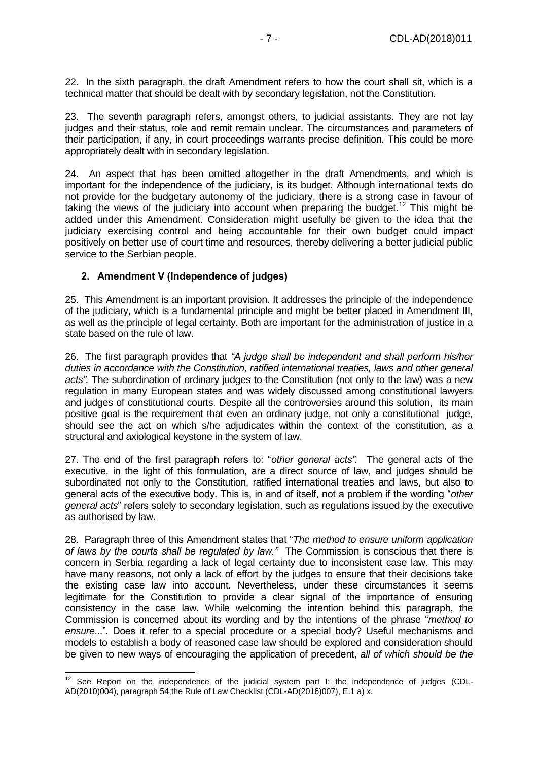22. In the sixth paragraph, the draft Amendment refers to how the court shall sit, which is a technical matter that should be dealt with by secondary legislation, not the Constitution.

23. The seventh paragraph refers, amongst others, to judicial assistants. They are not lay judges and their status, role and remit remain unclear. The circumstances and parameters of their participation, if any, in court proceedings warrants precise definition. This could be more appropriately dealt with in secondary legislation.

24. An aspect that has been omitted altogether in the draft Amendments, and which is important for the independence of the judiciary, is its budget. Although international texts do not provide for the budgetary autonomy of the judiciary, there is a strong case in favour of taking the views of the judiciary into account when preparing the budget.<sup>12</sup> This might be added under this Amendment. Consideration might usefully be given to the idea that the judiciary exercising control and being accountable for their own budget could impact positively on better use of court time and resources, thereby delivering a better judicial public service to the Serbian people.

### <span id="page-6-0"></span>**2. Amendment V (Independence of judges)**

 $\overline{a}$ 

25. This Amendment is an important provision. It addresses the principle of the independence of the judiciary, which is a fundamental principle and might be better placed in Amendment III, as well as the principle of legal certainty. Both are important for the administration of justice in a state based on the rule of law.

26. The first paragraph provides that *"A judge shall be independent and shall perform his/her duties in accordance with the Constitution, ratified international treaties, laws and other general acts".* The subordination of ordinary judges to the Constitution (not only to the law) was a new regulation in many European states and was widely discussed among constitutional lawyers and judges of constitutional courts. Despite all the controversies around this solution, its main positive goal is the requirement that even an ordinary judge, not only a constitutional judge, should see the act on which s/he adjudicates within the context of the constitution, as a structural and axiological keystone in the system of law.

27. The end of the first paragraph refers to: "*other general acts".* The general acts of the executive, in the light of this formulation, are a direct source of law, and judges should be subordinated not only to the Constitution, ratified international treaties and laws, but also to general acts of the executive body. This is, in and of itself, not a problem if the wording "*other general acts*" refers solely to secondary legislation, such as regulations issued by the executive as authorised by law.

28. Paragraph three of this Amendment states that "*The method to ensure uniform application of laws by the courts shall be regulated by law."* The Commission is conscious that there is concern in Serbia regarding a lack of legal certainty due to inconsistent case law. This may have many reasons, not only a lack of effort by the judges to ensure that their decisions take the existing case law into account. Nevertheless, under these circumstances it seems legitimate for the Constitution to provide a clear signal of the importance of ensuring consistency in the case law. While welcoming the intention behind this paragraph, the Commission is concerned about its wording and by the intentions of the phrase "*method to ensure*...". Does it refer to a special procedure or a special body? Useful mechanisms and models to establish a body of reasoned case law should be explored and consideration should be given to new ways of encouraging the application of precedent, *all of which should be the* 

 $12$  See Report on the independence of the judicial system part I: the independence of judges [\(CDL-](http://www.venice.coe.int/webforms/documents/?pdf=CDL-AD(2010)004-e)[AD\(2010\)004\)](http://www.venice.coe.int/webforms/documents/?pdf=CDL-AD(2010)004-e), paragraph 54;the Rule of Law Checklist (CDL-AD(2016)007), E.1 a) x.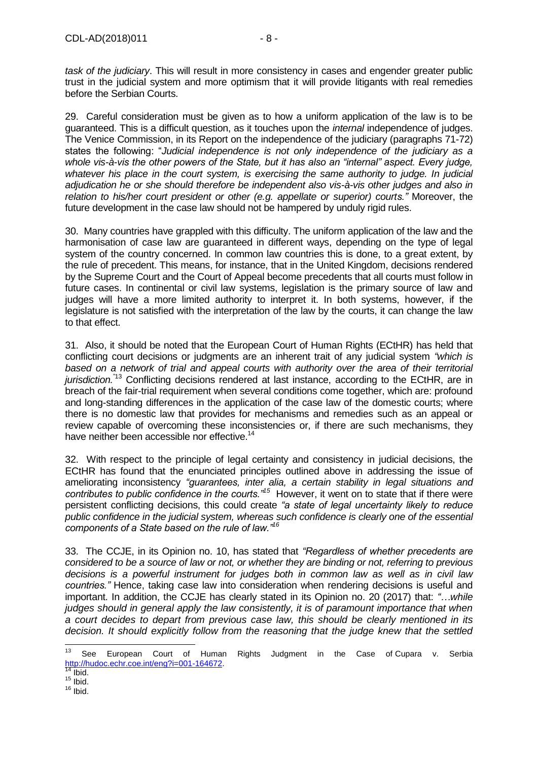*task of the judiciary*. This will result in more consistency in cases and engender greater public trust in the judicial system and more optimism that it will provide litigants with real remedies before the Serbian Courts.

29. Careful consideration must be given as to how a uniform application of the law is to be guaranteed. This is a difficult question, as it touches upon the *internal* independence of judges. The Venice Commission, in its Report on the independence of the judiciary (paragraphs 71-72) states the following: "*Judicial independence is not only independence of the judiciary as a whole vis-à-vis the other powers of the State, but it has also an "internal" aspect. Every judge, whatever his place in the court system, is exercising the same authority to judge. In judicial adjudication he or she should therefore be independent also vis-à-vis other judges and also in relation to his/her court president or other (e.g. appellate or superior) courts."* Moreover, the future development in the case law should not be hampered by unduly rigid rules.

30. Many countries have grappled with this difficulty. The uniform application of the law and the harmonisation of case law are guaranteed in different ways, depending on the type of legal system of the country concerned. In common law countries this is done, to a great extent, by the rule of precedent. This means, for instance, that in the United Kingdom, decisions rendered by the Supreme Court and the Court of Appeal become precedents that all courts must follow in future cases. In continental or civil law systems, legislation is the primary source of law and judges will have a more limited authority to interpret it. In both systems, however, if the legislature is not satisfied with the interpretation of the law by the courts, it can change the law to that effect.

31. Also, it should be noted that the European Court of Human Rights (ECtHR) has held that conflicting court decisions or judgments are an inherent trait of any judicial system *"which is based on a network of trial and appeal courts with authority over the area of their territorial jurisdiction.*<sup>"13</sup> Conflicting decisions rendered at last instance, according to the ECtHR, are in breach of the fair-trial requirement when several conditions come together, which are: profound and long-standing differences in the application of the case law of the domestic courts; where there is no domestic law that provides for mechanisms and remedies such as an appeal or review capable of overcoming these inconsistencies or, if there are such mechanisms, they have neither been accessible nor effective.<sup>14</sup>

32. With respect to the principle of legal certainty and consistency in judicial decisions, the ECtHR has found that the enunciated principles outlined above in addressing the issue of ameliorating inconsistency *"guarantees, inter alia, a certain stability in legal situations and contributes to public confidence in the courts."<sup>15</sup>* However, it went on to state that if there were persistent conflicting decisions, this could create *"a state of legal uncertainty likely to reduce public confidence in the judicial system, whereas such confidence is clearly one of the essential components of a State based on the rule of law."<sup>16</sup>*

33. The CCJE, in its Opinion no. 10, has stated that *"Regardless of whether precedents are considered to be a source of law or not, or whether they are binding or not, referring to previous decisions is a powerful instrument for judges both in common law as well as in civil law countries."* Hence, taking case law into consideration when rendering decisions is useful and important. In addition, the CCJE has clearly stated in its Opinion no. 20 (2017) that: *"…while judges should in general apply the law consistently, it is of paramount importance that when a court decides to depart from previous case law, this should be clearly mentioned in its decision. It should explicitly follow from the reasoning that the judge knew that the settled* 

 $13$ <sup>13</sup> See European Court of Human Rights Judgment in the Case of Cupara v. Serbia [http://hudoc.echr.coe.int/eng?i=001-164672.](http://hudoc.echr.coe.int/eng?i=001-164672)

Ibid.

 $15$  Ibid.

 $16$  Ibid.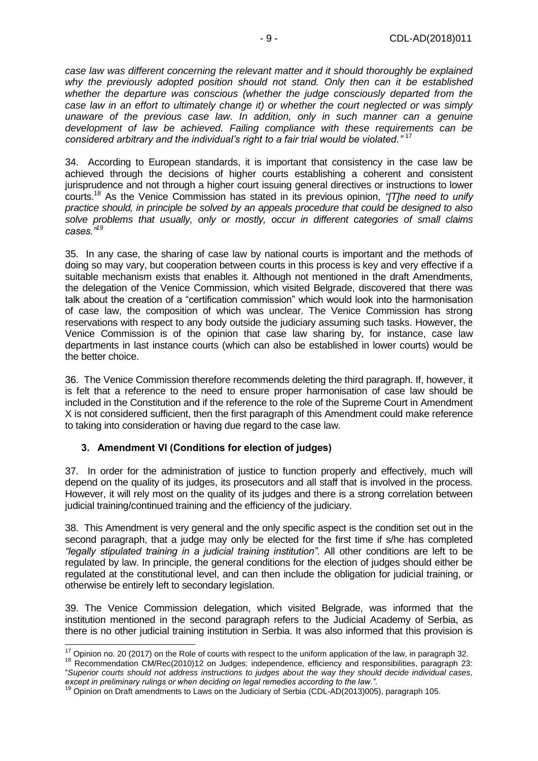*case law was different concerning the relevant matter and it should thoroughly be explained why the previously adopted position should not stand. Only then can it be established whether the departure was conscious (whether the judge consciously departed from the case law in an effort to ultimately change it) or whether the court neglected or was simply unaware of the previous case law. In addition, only in such manner can a genuine development of law be achieved. Failing compliance with these requirements can be considered arbitrary and the individual's right to a fair trial would be violated."* <sup>17</sup>

34. According to European standards, it is important that consistency in the case law be achieved through the decisions of higher courts establishing a coherent and consistent jurisprudence and not through a higher court issuing general directives or instructions to lower courts.<sup>18</sup> As the Venice Commission has stated in its previous opinion, *"[T]he need to unify practice should, in principle be solved by an appeals procedure that could be designed to also solve problems that usually, only or mostly, occur in different categories of small claims cases."<sup>19</sup>*

35. In any case, the sharing of case law by national courts is important and the methods of doing so may vary, but cooperation between courts in this process is key and very effective if a suitable mechanism exists that enables it. Although not mentioned in the draft Amendments, the delegation of the Venice Commission, which visited Belgrade, discovered that there was talk about the creation of a "certification commission" which would look into the harmonisation of case law, the composition of which was unclear. The Venice Commission has strong reservations with respect to any body outside the judiciary assuming such tasks. However, the Venice Commission is of the opinion that case law sharing by, for instance, case law departments in last instance courts (which can also be established in lower courts) would be the better choice.

36. The Venice Commission therefore recommends deleting the third paragraph. If, however, it is felt that a reference to the need to ensure proper harmonisation of case law should be included in the Constitution and if the reference to the role of the Supreme Court in Amendment X is not considered sufficient, then the first paragraph of this Amendment could make reference to taking into consideration or having due regard to the case law.

#### <span id="page-8-0"></span>**3. Amendment VI (Conditions for election of judges)**

37. In order for the administration of justice to function properly and effectively, much will depend on the quality of its judges, its prosecutors and all staff that is involved in the process. However, it will rely most on the quality of its judges and there is a strong correlation between judicial training/continued training and the efficiency of the judiciary.

38. This Amendment is very general and the only specific aspect is the condition set out in the second paragraph, that a judge may only be elected for the first time if s/he has completed *"legally stipulated training in a judicial training institution"*. All other conditions are left to be regulated by law. In principle, the general conditions for the election of judges should either be regulated at the constitutional level, and can then include the obligation for judicial training, or otherwise be entirely left to secondary legislation.

39. The Venice Commission delegation, which visited Belgrade, was informed that the institution mentioned in the second paragraph refers to the Judicial Academy of Serbia, as there is no other judicial training institution in Serbia. It was also informed that this provision is

 $\overline{1}$  $17$  Opinion no. 20 (2017) on the Role of courts with respect to the uniform application of the law, in paragraph 32.

<sup>18</sup> [Recommendation CM/Rec\(2010\)12](https://search.coe.int/cm/Pages/result_details.aspx?ObjectId=09000016805afb78) on Judges: independence, efficiency and responsibilities, paragraph 23: "*Superior courts should not address instructions to judges about the way they should decide individual cases, except in preliminary rulings or when deciding on legal remedies according to the law.".*

<sup>&</sup>lt;sup>19</sup> Opinion on Draft amendments to Laws on the Judiciary of Serbia [\(CDL-AD\(2013\)005\)](http://www.venice.coe.int/webforms/documents/?pdf=CDL-AD(2013)005-e), paragraph 105.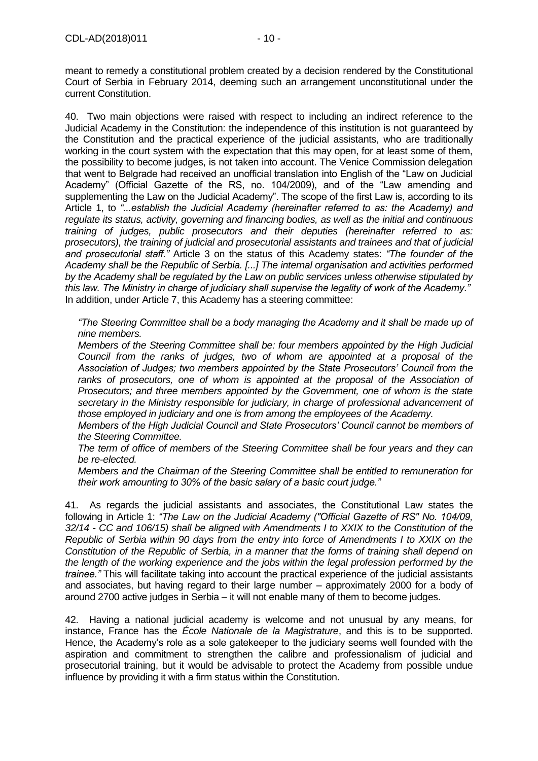meant to remedy a constitutional problem created by a decision rendered by the Constitutional Court of Serbia in February 2014, deeming such an arrangement unconstitutional under the current Constitution.

40. Two main objections were raised with respect to including an indirect reference to the Judicial Academy in the Constitution: the independence of this institution is not guaranteed by the Constitution and the practical experience of the judicial assistants, who are traditionally working in the court system with the expectation that this may open, for at least some of them, the possibility to become judges, is not taken into account. The Venice Commission delegation that went to Belgrade had received an unofficial translation into English of the "Law on Judicial Academy" (Official Gazette of the RS, no. 104/2009), and of the "Law amending and supplementing the Law on the Judicial Academy". The scope of the first Law is, according to its Article 1, to *"...establish the Judicial Academy (hereinafter referred to as: the Academy) and regulate its status, activity, governing and financing bodies, as well as the initial and continuous training of judges, public prosecutors and their deputies (hereinafter referred to as: prosecutors), the training of judicial and prosecutorial assistants and trainees and that of judicial and prosecutorial staff."* Article 3 on the status of this Academy states: *"The founder of the Academy shall be the Republic of Serbia. [...] The internal organisation and activities performed by the Academy shall be regulated by the Law on public services unless otherwise stipulated by this law. The Ministry in charge of judiciary shall supervise the legality of work of the Academy."* In addition, under Article 7, this Academy has a steering committee:

*"The Steering Committee shall be a body managing the Academy and it shall be made up of nine members.*

*Members of the Steering Committee shall be: four members appointed by the High Judicial Council from the ranks of judges, two of whom are appointed at a proposal of the Association of Judges; two members appointed by the State Prosecutors' Council from the*  ranks of prosecutors, one of whom is appointed at the proposal of the Association of *Prosecutors; and three members appointed by the Government, one of whom is the state secretary in the Ministry responsible for judiciary, in charge of professional advancement of those employed in judiciary and one is from among the employees of the Academy.*

*Members of the High Judicial Council and State Prosecutors' Council cannot be members of the Steering Committee.*

*The term of office of members of the Steering Committee shall be four years and they can be re-elected.*

*Members and the Chairman of the Steering Committee shall be entitled to remuneration for their work amounting to 30% of the basic salary of a basic court judge."*

41. As regards the judicial assistants and associates, the Constitutional Law states the following in Article 1: *"The Law on the Judicial Academy ("Official Gazette of RS" No. 104/09, 32/14 - CC and 106/15) shall be aligned with Amendments I to XXIX to the Constitution of the Republic of Serbia within 90 days from the entry into force of Amendments I to XXIX on the Constitution of the Republic of Serbia, in a manner that the forms of training shall depend on the length of the working experience and the jobs within the legal profession performed by the trainee."* This will facilitate taking into account the practical experience of the judicial assistants and associates, but having regard to their large number – approximately 2000 for a body of around 2700 active judges in Serbia – it will not enable many of them to become judges.

42. Having a national judicial academy is welcome and not unusual by any means, for instance, France has the *École Nationale de la Magistrature*, and this is to be supported. Hence, the Academy's role as a sole gatekeeper to the judiciary seems well founded with the aspiration and commitment to strengthen the calibre and professionalism of judicial and prosecutorial training, but it would be advisable to protect the Academy from possible undue influence by providing it with a firm status within the Constitution.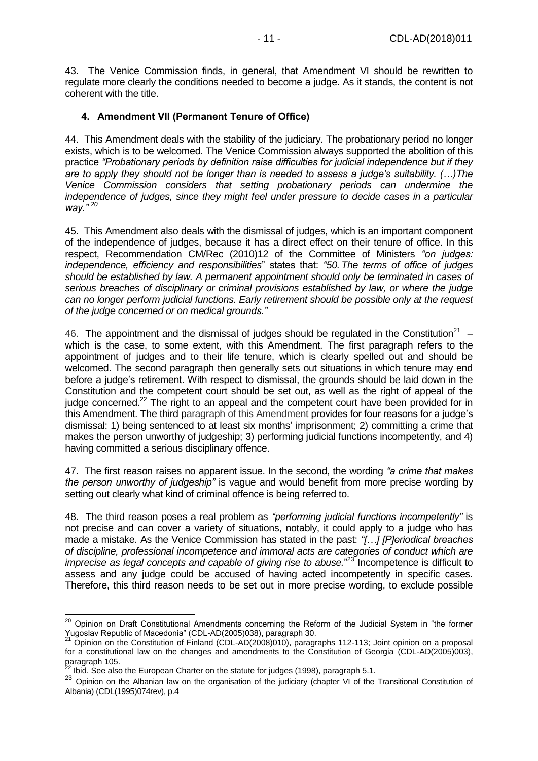43. The Venice Commission finds, in general, that Amendment VI should be rewritten to regulate more clearly the conditions needed to become a judge. As it stands, the content is not coherent with the title.

#### <span id="page-10-0"></span>**4. Amendment VII (Permanent Tenure of Office)**

44. This Amendment deals with the stability of the judiciary. The probationary period no longer exists, which is to be welcomed. The Venice Commission always supported the abolition of this practice *"Probationary periods by definition raise difficulties for judicial independence but if they are to apply they should not be longer than is needed to assess a judge's suitability. (…)The Venice Commission considers that setting probationary periods can undermine the independence of judges, since they might feel under pressure to decide cases in a particular way." <sup>20</sup>*

45. This Amendment also deals with the dismissal of judges, which is an important component of the independence of judges, because it has a direct effect on their tenure of office. In this respect, Recommendation CM/Rec (2010)12 of the Committee of Ministers *"on judges: independence, efficiency and responsibilities*" states that: *"50. The terms of office of judges should be established by law. A permanent appointment should only be terminated in cases of serious breaches of disciplinary or criminal provisions established by law, or where the judge can no longer perform judicial functions. Early retirement should be possible only at the request of the judge concerned or on medical grounds."*

46. The appointment and the dismissal of judges should be regulated in the Constitution<sup>21</sup> – which is the case, to some extent, with this Amendment. The first paragraph refers to the appointment of judges and to their life tenure, which is clearly spelled out and should be welcomed. The second paragraph then generally sets out situations in which tenure may end before a judge's retirement. With respect to dismissal, the grounds should be laid down in the Constitution and the competent court should be set out, as well as the right of appeal of the judge concerned.<sup>22</sup> The right to an appeal and the competent court have been provided for in this Amendment. The third paragraph of this Amendment provides for four reasons for a judge's dismissal: 1) being sentenced to at least six months' imprisonment; 2) committing a crime that makes the person unworthy of judgeship; 3) performing judicial functions incompetently, and 4) having committed a serious disciplinary offence.

47. The first reason raises no apparent issue. In the second, the wording *"a crime that makes the person unworthy of judgeship"* is vague and would benefit from more precise wording by setting out clearly what kind of criminal offence is being referred to.

48. The third reason poses a real problem as *"performing judicial functions incompetently"* is not precise and can cover a variety of situations, notably, it could apply to a judge who has made a mistake. As the Venice Commission has stated in the past: *"[…] [P]eriodical breaches of discipline, professional incompetence and immoral acts are categories of conduct which are*  imprecise as legal concepts and capable of giving rise to abuse."<sup>23</sup> Incompetence is difficult to assess and any judge could be accused of having acted incompetently in specific cases. Therefore, this third reason needs to be set out in more precise wording, to exclude possible

 $\overline{a}$ <sup>20</sup> Opinion on Draft Constitutional Amendments concerning the Reform of the Judicial System in "the former Yugoslav Republic of Macedonia" [\(CDL-AD\(2005\)038\)](http://www.venice.coe.int/webforms/documents/?pdf=CDL-AD(2005)038-e), paragraph 30.

 $^{21}$  Opinion on the Constitution of Finland (CDL-AD(2008)010), paragraphs 112-113; Joint opinion on a proposal for a constitutional law on the changes and amendments to the Constitution of Georgia (CDL-AD(2005)003), paragraph 105.

Ibid. See also the European Charter [on](https://rm.coe.int/16807473ef) the statute for judges (1998), paragraph 5.1.

<sup>23</sup> Opinion on the Albanian law on the organisation of the judiciary (chapter VI of the Transitional Constitution of Albania) (CDL(1995)074rev), p.4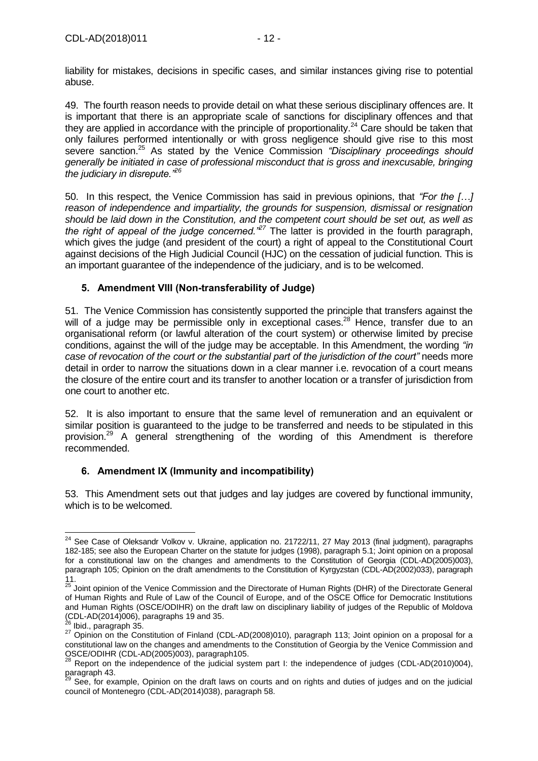liability for mistakes, decisions in specific cases, and similar instances giving rise to potential abuse.

49. The fourth reason needs to provide detail on what these serious disciplinary offences are. It is important that there is an appropriate scale of sanctions for disciplinary offences and that they are applied in accordance with the principle of proportionality.<sup>24</sup> Care should be taken that only failures performed intentionally or with gross negligence should give rise to this most severe sanction.<sup>25</sup> As stated by the Venice Commission *"Disciplinary proceedings should generally be initiated in case of professional misconduct that is gross and inexcusable, bringing the judiciary in disrepute."<sup>26</sup>*

50. In this respect, the Venice Commission has said in previous opinions, that *"For the […] reason of independence and impartiality, the grounds for suspension, dismissal or resignation should be laid down in the Constitution, and the competent court should be set out, as well as the right of appeal of the judge concerned."<sup>27</sup>* The latter is provided in the fourth paragraph, which gives the judge (and president of the court) a right of appeal to the Constitutional Court against decisions of the High Judicial Council (HJC) on the cessation of judicial function. This is an important guarantee of the independence of the judiciary, and is to be welcomed.

### <span id="page-11-0"></span>**5. Amendment VIII (Non-transferability of Judge)**

51. The Venice Commission has consistently supported the principle that transfers against the will of a judge may be permissible only in exceptional cases.<sup>28</sup> Hence, transfer due to an organisational reform (or lawful alteration of the court system) or otherwise limited by precise conditions, against the will of the judge may be acceptable. In this Amendment, the wording *"in case of revocation of the court or the substantial part of the jurisdiction of the court"* needs more detail in order to narrow the situations down in a clear manner i.e. revocation of a court means the closure of the entire court and its transfer to another location or a transfer of jurisdiction from one court to another etc.

52. It is also important to ensure that the same level of remuneration and an equivalent or similar position is guaranteed to the judge to be transferred and needs to be stipulated in this provision.<sup>29</sup> A general strengthening of the wording of this Amendment is therefore recommended.

# <span id="page-11-1"></span>**6. Amendment IX (Immunity and incompatibility)**

53. This Amendment sets out that judges and lay judges are covered by functional immunity, which is to be welcomed.

 $24$  See Case of Oleksandr Volkov v. Ukraine, application no. [21722/11,](https://hudoc.echr.coe.int/eng#{"appno":["21722/11"]}) 27 May 2013 (final judgment), paragraphs 182-185; see also the European Charte[r on](https://rm.coe.int/16807473ef) the statute for judges (1998), paragraph 5.1; Joint opinion on a proposal for a constitutional law on the changes and amendments to the Constitution of Georgia (CDL-AD(2005)003), paragraph 105; Opinion on the draft amendments to the Constitution of Kyrgyzstan (CDL-AD(2002)033), paragraph 11.

<sup>&</sup>lt;sup>25</sup> Joint opinion of the Venice Commission and the Directorate of Human Rights (DHR) of the Directorate General of Human Rights and Rule of Law of the Council of Europe, and of the OSCE Office for Democratic Institutions and Human Rights (OSCE/ODIHR) on the draft law on disciplinary liability of judges of the Republic of Moldova  $\overline{\text{CDL-AD(2014)006}}$ , paragraphs 19 and 35.

 $^3$  Ibid., paragraph 35.

<sup>27</sup> Opinion on the Constitution of Finland [\(CDL-AD\(2008\)010\)](http://www.venice.coe.int/webforms/documents/?pdf=CDL-AD(2008)010-e), paragraph 113; Joint opinion on a proposal for a constitutional law on the changes and amendments to the Constitution of Georgia by the Venice Commission and OSCE/ODIHR [\(CDL-AD\(2005\)003\)](http://www.venice.coe.int/webforms/documents/?pdf=CDL-AD(2005)003-e), paragraph105.

 $^{28}$  Report on the independence of the judicial system part I: the independence of judges [\(CDL-AD\(2010\)004\)](http://www.venice.coe.int/webforms/documents/?pdf=CDL-AD(2010)004-e), paragraph 43.

<sup>&</sup>lt;sup>29</sup> See, for example, Opinion on the draft laws on courts and on rights and duties of judges and on the judicial council of Montenegro [\(CDL-AD\(2014\)038\)](http://www.venice.coe.int/webforms/documents/?pdf=CDL-AD(2014)038-e), paragraph 58.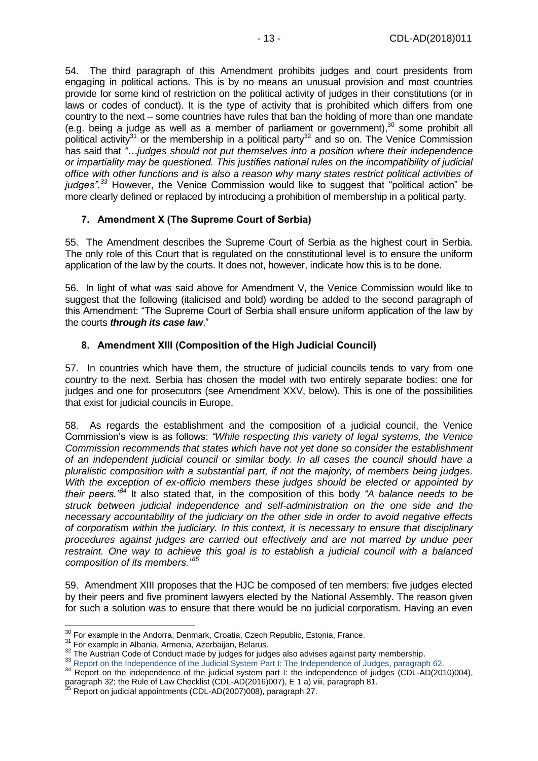54. The third paragraph of this Amendment prohibits judges and court presidents from engaging in political actions. This is by no means an unusual provision and most countries provide for some kind of restriction on the political activity of judges in their constitutions (or in laws or codes of conduct). It is the type of activity that is prohibited which differs from one country to the next – some countries have rules that ban the holding of more than one mandate (e.g. being a judge as well as a member of parliament or government), $30$  some prohibit all political activity<sup>31</sup> or the membership in a political party<sup>32</sup> and so on. The Venice Commission has said that *"…judges should not put themselves into a position where their independence or impartiality may be questioned. This justifies national rules on the incompatibility of judicial office with other functions and is also a reason why many states restrict political activities of judges". <sup>33</sup>* However, the Venice Commission would like to suggest that "political action" be more clearly defined or replaced by introducing a prohibition of membership in a political party.

# <span id="page-12-0"></span>**7. Amendment X (The Supreme Court of Serbia)**

55. The Amendment describes the Supreme Court of Serbia as the highest court in Serbia. The only role of this Court that is regulated on the constitutional level is to ensure the uniform application of the law by the courts. It does not, however, indicate how this is to be done.

56. In light of what was said above for Amendment V, the Venice Commission would like to suggest that the following (italicised and bold) wording be added to the second paragraph of this Amendment: "The Supreme Court of Serbia shall ensure uniform application of the law by the courts *through its case law*."

### <span id="page-12-1"></span>**8. Amendment XIII (Composition of the High Judicial Council)**

57. In countries which have them, the structure of judicial councils tends to vary from one country to the next. Serbia has chosen the model with two entirely separate bodies: one for judges and one for prosecutors (see Amendment XXV, below). This is one of the possibilities that exist for judicial councils in Europe.

58. As regards the establishment and the composition of a judicial council, the Venice Commission's view is as follows: *"While respecting this variety of legal systems, the Venice Commission recommends that states which have not yet done so consider the establishment of an independent judicial council or similar body. In all cases the council should have a pluralistic composition with a substantial part, if not the majority, of members being judges. With the exception of ex-officio members these judges should be elected or appointed by their peers."<sup>34</sup>* It also stated that, in the composition of this body *"A balance needs to be struck between judicial independence and self-administration on the one side and the necessary accountability of the judiciary on the other side in order to avoid negative effects of corporatism within the judiciary. In this context, it is necessary to ensure that disciplinary procedures against judges are carried out effectively and are not marred by undue peer restraint. One way to achieve this goal is to establish a judicial council with a balanced composition of its members."<sup>35</sup>*

59. Amendment XIII proposes that the HJC be composed of ten members: five judges elected by their peers and five prominent lawyers elected by the National Assembly. The reason given for such a solution was to ensure that there would be no judicial corporatism. Having an even

 $\overline{a}$  $30$  For example in the Andorra, Denmark, Croatia, Czech Republic, Estonia, France.

<sup>31</sup> For example in Albania, Armenia, Azerbaijan, Belarus.

<sup>&</sup>lt;sup>32</sup> The Austrian Code of Conduct made by judges for judges also advises against party membership.

<sup>33</sup> Report on the Independence of the Judicial System Part I: The Independence of Judges, paragraph 62.

<sup>&</sup>lt;sup>34</sup> Report on the independence of the judicial system part I: the independence of judges [\(CDL-AD\(2010\)004\)](http://www.venice.coe.int/webforms/documents/?pdf=CDL-AD(2010)004-e), paragraph 32; the Rule of Law Checklist (CDL-AD(2016)007), E 1 a) viii, paragraph 81.

Report on judicial appointments [\(CDL-AD\(2007\)008\)](http://www.venice.coe.int/webforms/documents/default.aspx?pdffile=CDL-AD(2007)028-e), paragraph 27.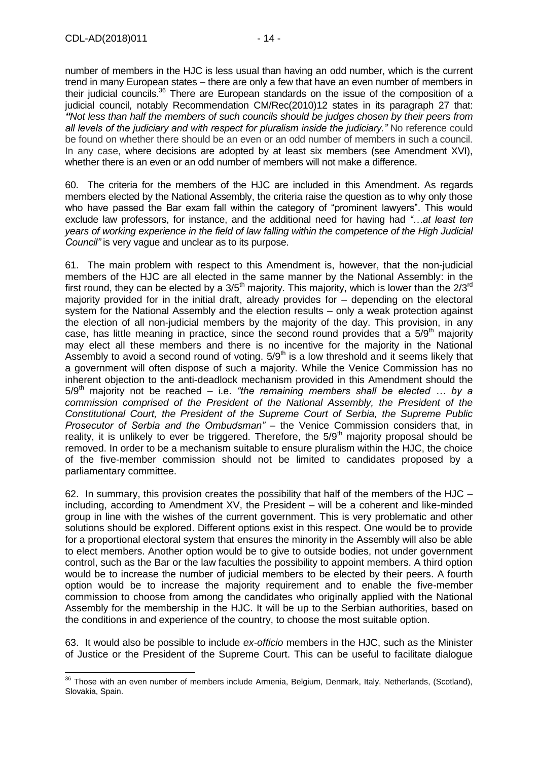$\overline{a}$ 

number of members in the HJC is less usual than having an odd number, which is the current trend in many European states – there are only a few that have an even number of members in their judicial councils.<sup>36</sup> There are European standards on the issue of the composition of a judicial council, notably Recommendation [CM/Rec\(2010\)12](https://search.coe.int/cm/Pages/result_details.aspx?Reference=CM/Rec(2010)12) states in its paragraph 27 that: *"Not less than half the members of such councils should be judges chosen by their peers from all levels of the judiciary and with respect for pluralism inside the judiciary."* No reference could be found on whether there should be an even or an odd number of members in such a council. In any case, where decisions are adopted by at least six members (see Amendment XVI), whether there is an even or an odd number of members will not make a difference.

60. The criteria for the members of the HJC are included in this Amendment. As regards members elected by the National Assembly, the criteria raise the question as to why only those who have passed the Bar exam fall within the category of "prominent lawyers". This would exclude law professors, for instance, and the additional need for having had *"…at least ten years of working experience in the field of law falling within the competence of the High Judicial Council"* is very vague and unclear as to its purpose.

61. The main problem with respect to this Amendment is, however, that the non-judicial members of the HJC are all elected in the same manner by the National Assembly: in the first round, they can be elected by a  $3/5<sup>th</sup>$  majority. This majority, which is lower than the  $2/3<sup>rd</sup>$ majority provided for in the initial draft, already provides for – depending on the electoral system for the National Assembly and the election results – only a weak protection against the election of all non-judicial members by the majority of the day. This provision, in any case, has little meaning in practice, since the second round provides that a 5/9<sup>th</sup> majority may elect all these members and there is no incentive for the majority in the National Assembly to avoid a second round of voting.  $5/9<sup>th</sup>$  is a low threshold and it seems likely that a government will often dispose of such a majority. While the Venice Commission has no inherent objection to the anti-deadlock mechanism provided in this Amendment should the  $5/9<sup>th</sup>$  majority not be reached – i.e. *"the remaining members shall be elected ... by a commission comprised of the President of the National Assembly, the President of the Constitutional Court, the President of the Supreme Court of Serbia, the Supreme Public Prosecutor of Serbia and the Ombudsman"* – the Venice Commission considers that, in reality, it is unlikely to ever be triggered. Therefore, the  $5/9<sup>th</sup>$  majority proposal should be removed. In order to be a mechanism suitable to ensure pluralism within the HJC, the choice of the five-member commission should not be limited to candidates proposed by a parliamentary committee.

62. In summary, this provision creates the possibility that half of the members of the HJC  $$ including, according to Amendment XV, the President – will be a coherent and like-minded group in line with the wishes of the current government. This is very problematic and other solutions should be explored. Different options exist in this respect. One would be to provide for a proportional electoral system that ensures the minority in the Assembly will also be able to elect members. Another option would be to give to outside bodies, not under government control, such as the Bar or the law faculties the possibility to appoint members. A third option would be to increase the number of judicial members to be elected by their peers. A fourth option would be to increase the majority requirement and to enable the five-member commission to choose from among the candidates who originally applied with the National Assembly for the membership in the HJC. It will be up to the Serbian authorities, based on the conditions in and experience of the country, to choose the most suitable option.

63. It would also be possible to include *ex-officio* members in the HJC, such as the Minister of Justice or the President of the Supreme Court. This can be useful to facilitate dialogue

<sup>&</sup>lt;sup>36</sup> Those with an even number of members include Armenia, Belgium, Denmark, Italy, Netherlands, (Scotland), Slovakia, Spain.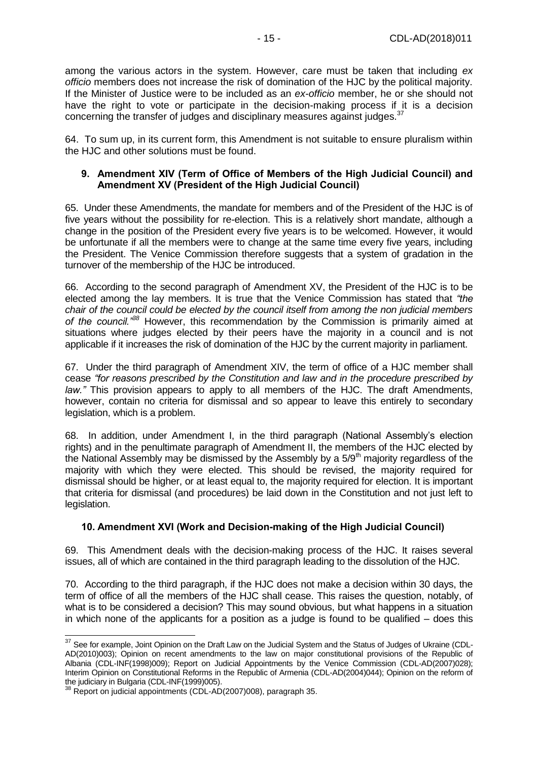among the various actors in the system. However, care must be taken that including *ex officio* members does not increase the risk of domination of the HJC by the political majority. If the Minister of Justice were to be included as an *ex-officio* member, he or she should not have the right to vote or participate in the decision-making process if it is a decision concerning the transfer of judges and disciplinary measures against judges.<sup>37</sup>

64. To sum up, in its current form, this Amendment is not suitable to ensure pluralism within the HJC and other solutions must be found.

#### <span id="page-14-0"></span>**9. Amendment XIV (Term of Office of Members of the High Judicial Council) and Amendment XV (President of the High Judicial Council)**

65. Under these Amendments, the mandate for members and of the President of the HJC is of five years without the possibility for re-election. This is a relatively short mandate, although a change in the position of the President every five years is to be welcomed. However, it would be unfortunate if all the members were to change at the same time every five years, including the President. The Venice Commission therefore suggests that a system of gradation in the turnover of the membership of the HJC be introduced.

66. According to the second paragraph of Amendment XV, the President of the HJC is to be elected among the lay members. It is true that the Venice Commission has stated that *"the chair of the council could be elected by the council itself from among the non judicial members of the council."<sup>38</sup>* However, this recommendation by the Commission is primarily aimed at situations where judges elected by their peers have the majority in a council and is not applicable if it increases the risk of domination of the HJC by the current majority in parliament.

67. Under the third paragraph of Amendment XIV, the term of office of a HJC member shall cease *"for reasons prescribed by the Constitution and law and in the procedure prescribed by law."* This provision appears to apply to all members of the HJC. The draft Amendments, however, contain no criteria for dismissal and so appear to leave this entirely to secondary legislation, which is a problem.

68. In addition, under Amendment I, in the third paragraph (National Assembly's election rights) and in the penultimate paragraph of Amendment II, the members of the HJC elected by the National Assembly may be dismissed by the Assembly by a  $5/9<sup>th</sup>$  majority regardless of the majority with which they were elected. This should be revised, the majority required for dismissal should be higher, or at least equal to, the majority required for election. It is important that criteria for dismissal (and procedures) be laid down in the Constitution and not just left to legislation.

#### <span id="page-14-1"></span>**10. Amendment XVI (Work and Decision-making of the High Judicial Council)**

69. This Amendment deals with the decision-making process of the HJC. It raises several issues, all of which are contained in the third paragraph leading to the dissolution of the HJC.

70. According to the third paragraph, if the HJC does not make a decision within 30 days, the term of office of all the members of the HJC shall cease. This raises the question, notably, of what is to be considered a decision? This may sound obvious, but what happens in a situation in which none of the applicants for a position as a judge is found to be qualified – does this

 $37$  See for example, Joint Opinion on the Draft Law on the Judicial System and the Status of Judges of Ukraine [\(CDL-](http://www.venice.coe.int/webforms/documents/?pdf=CDL-AD(2010)003-e)[AD\(2010\)003\)](http://www.venice.coe.int/webforms/documents/?pdf=CDL-AD(2010)003-e); Opinion on recent amendments to the law on major constitutional provisions of the Republic of Albania [\(CDL-INF\(1998\)009\)](http://www.venice.coe.int/webforms/documents/?pdf=CDL-INF(1998)009-e); Report on Judicial Appointments by the Venice Commission [\(CDL-AD\(2007\)028\)](http://www.venice.coe.int/webforms/documents/CDL-AD(2007)028.aspx); Interim Opinion on Constitutional Reforms in the Republic of Armenia [\(CDL-AD\(2004\)044\)](http://www.venice.coe.int/webforms/documents/?pdf=CDL-AD(2004)044-e); Opinion on the reform of the judiciary in Bulgaria [\(CDL-INF\(1999\)005\)](http://www.venice.coe.int/webforms/documents/?pdf=CDL-INF(1999)005-e).

Report on judicial appointments [\(CDL-AD\(2007\)008\)](http://www.venice.coe.int/webforms/documents/default.aspx?pdffile=CDL-AD(2007)028-e), paragraph 35.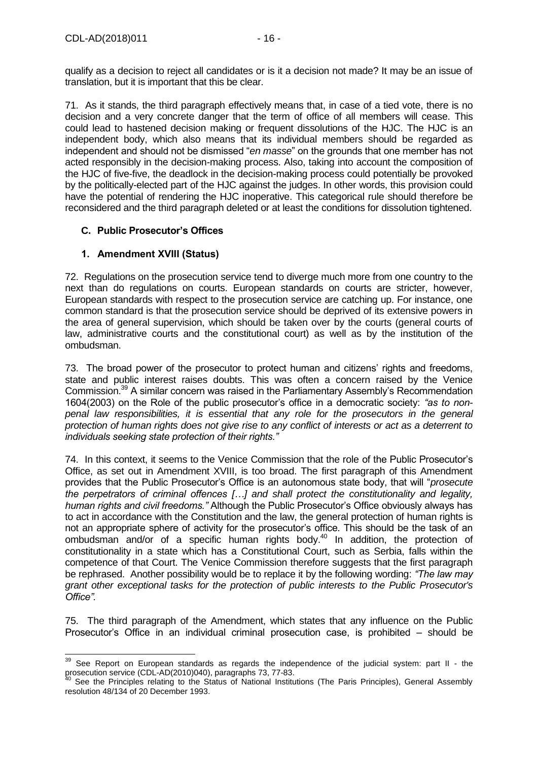qualify as a decision to reject all candidates or is it a decision not made? It may be an issue of translation, but it is important that this be clear.

71. As it stands, the third paragraph effectively means that, in case of a tied vote, there is no decision and a very concrete danger that the term of office of all members will cease. This could lead to hastened decision making or frequent dissolutions of the HJC. The HJC is an independent body, which also means that its individual members should be regarded as independent and should not be dismissed "*en masse*" on the grounds that one member has not acted responsibly in the decision-making process. Also, taking into account the composition of the HJC of five-five, the deadlock in the decision-making process could potentially be provoked by the politically-elected part of the HJC against the judges. In other words, this provision could have the potential of rendering the HJC inoperative. This categorical rule should therefore be reconsidered and the third paragraph deleted or at least the conditions for dissolution tightened.

# <span id="page-15-0"></span>**C. Public Prosecutor's Offices**

### <span id="page-15-1"></span>**1. Amendment XVIII (Status)**

72. Regulations on the prosecution service tend to diverge much more from one country to the next than do regulations on courts. European standards on courts are stricter, however, European standards with respect to the prosecution service are catching up. For instance, one common standard is that the prosecution service should be deprived of its extensive powers in the area of general supervision, which should be taken over by the courts (general courts of law, administrative courts and the constitutional court) as well as by the institution of the ombudsman.

73. The broad power of the prosecutor to protect human and citizens' rights and freedoms, state and public interest raises doubts. This was often a concern raised by the Venice Commission.<sup>39</sup> A similar concern was raised in the Parliamentary Assembly's Recommendation 1604(2003) on the Role of the public prosecutor's office in a democratic society: *"as to nonpenal law responsibilities, it is essential that any role for the prosecutors in the general protection of human rights does not give rise to any conflict of interests or act as a deterrent to individuals seeking state protection of their rights."*

74. In this context, it seems to the Venice Commission that the role of the Public Prosecutor's Office, as set out in Amendment XVIII, is too broad. The first paragraph of this Amendment provides that the Public Prosecutor's Office is an autonomous state body, that will "*prosecute the perpetrators of criminal offences […] and shall protect the constitutionality and legality, human rights and civil freedoms."* Although the Public Prosecutor's Office obviously always has to act in accordance with the Constitution and the law, the general protection of human rights is not an appropriate sphere of activity for the prosecutor's office. This should be the task of an ombudsman and/or of a specific human rights body. <sup>40</sup> In addition, the protection of constitutionality in a state which has a Constitutional Court, such as Serbia, falls within the competence of that Court. The Venice Commission therefore suggests that the first paragraph be rephrased. Another possibility would be to replace it by the following wording: *"The law may grant other exceptional tasks for the protection of public interests to the Public Prosecutor's Office".*

75. The third paragraph of the Amendment, which states that any influence on the Public Prosecutor's Office in an individual criminal prosecution case, is prohibited – should be

<sup>-</sup> $39$  See Report on European standards as regards the independence of the judicial system: part II - the prosecution service [\(CDL-AD\(2010\)040\)](http://www.venice.coe.int/webforms/documents/?pdf=CDL-AD(2010)040-e), paragraphs 73, 77-83.

<sup>40</sup> See the Principles relating to the Status of National Institutions (The Paris Principles), General Assembly resolution 48/134 of 20 December 1993.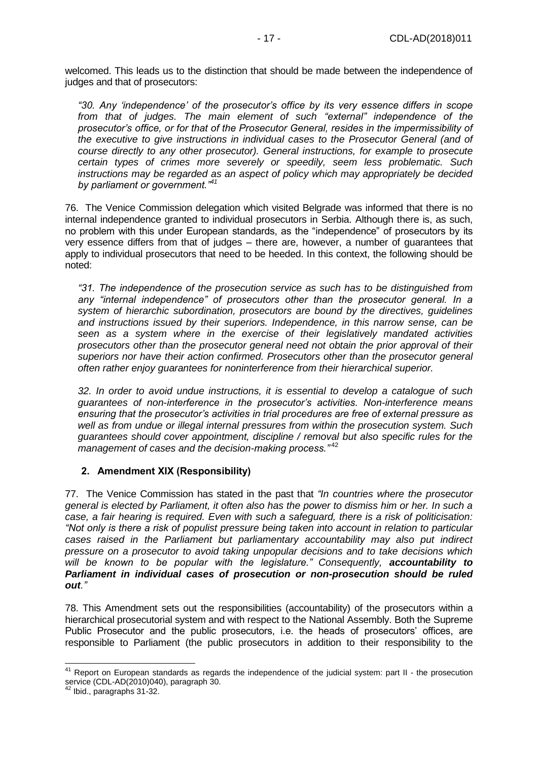welcomed. This leads us to the distinction that should be made between the independence of judges and that of prosecutors:

*"30. Any 'independence' of the prosecutor's office by its very essence differs in scope from that of judges. The main element of such "external" independence of the prosecutor's office, or for that of the Prosecutor General, resides in the impermissibility of the executive to give instructions in individual cases to the Prosecutor General (and of course directly to any other prosecutor). General instructions, for example to prosecute certain types of crimes more severely or speedily, seem less problematic. Such instructions may be regarded as an aspect of policy which may appropriately be decided by parliament or government."<sup>41</sup>*

76. The Venice Commission delegation which visited Belgrade was informed that there is no internal independence granted to individual prosecutors in Serbia. Although there is, as such, no problem with this under European standards, as the "independence" of prosecutors by its very essence differs from that of judges – there are, however, a number of guarantees that apply to individual prosecutors that need to be heeded. In this context, the following should be noted:

*"31. The independence of the prosecution service as such has to be distinguished from any "internal independence" of prosecutors other than the prosecutor general. In a system of hierarchic subordination, prosecutors are bound by the directives, guidelines and instructions issued by their superiors. Independence, in this narrow sense, can be seen as a system where in the exercise of their legislatively mandated activities prosecutors other than the prosecutor general need not obtain the prior approval of their superiors nor have their action confirmed. Prosecutors other than the prosecutor general often rather enjoy guarantees for noninterference from their hierarchical superior.*

*32. In order to avoid undue instructions, it is essential to develop a catalogue of such guarantees of non-interference in the prosecutor's activities. Non-interference means ensuring that the prosecutor's activities in trial procedures are free of external pressure as well as from undue or illegal internal pressures from within the prosecution system. Such guarantees should cover appointment, discipline / removal but also specific rules for the management of cases and the decision-making process."* <sup>42</sup>

#### <span id="page-16-0"></span>**2. Amendment XIX (Responsibility)**

77. The Venice Commission has stated in the past that *"In countries where the prosecutor general is elected by Parliament, it often also has the power to dismiss him or her. In such a case, a fair hearing is required. Even with such a safeguard, there is a risk of politicisation: "Not only is there a risk of populist pressure being taken into account in relation to particular cases raised in the Parliament but parliamentary accountability may also put indirect pressure on a prosecutor to avoid taking unpopular decisions and to take decisions which will be known to be popular with the legislature." Consequently, accountability to Parliament in individual cases of prosecution or non-prosecution should be ruled out."*

78. This Amendment sets out the responsibilities (accountability) of the prosecutors within a hierarchical prosecutorial system and with respect to the National Assembly. Both the Supreme Public Prosecutor and the public prosecutors, i.e. the heads of prosecutors' offices, are responsible to Parliament (the public prosecutors in addition to their responsibility to the

<sup>&</sup>lt;sup>41</sup> Report on European standards as regards the independence of the judicial system: part II - the prosecution service [\(CDL-AD\(2010\)040\)](http://www.venice.coe.int/webforms/documents/?pdf=CDL-AD(2010)040-e), paragraph 30.

Ibid., paragraphs 31-32.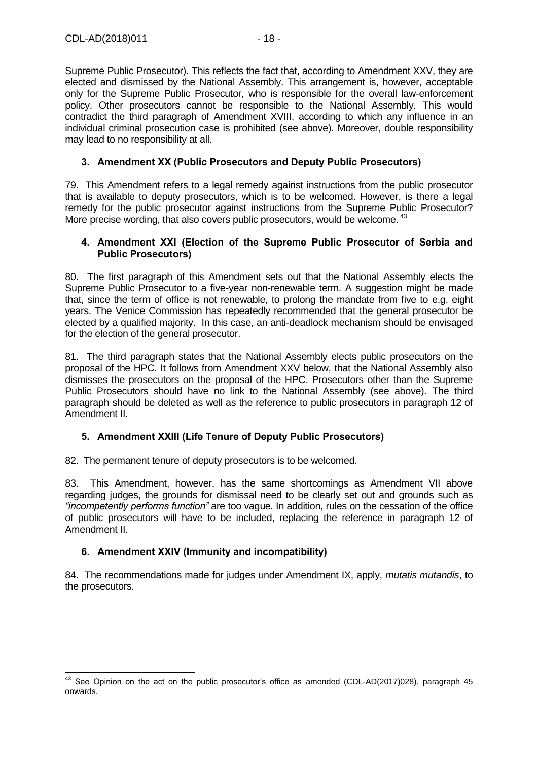Supreme Public Prosecutor). This reflects the fact that, according to Amendment XXV, they are elected and dismissed by the National Assembly. This arrangement is, however, acceptable only for the Supreme Public Prosecutor, who is responsible for the overall law-enforcement policy. Other prosecutors cannot be responsible to the National Assembly. This would contradict the third paragraph of Amendment XVIII, according to which any influence in an individual criminal prosecution case is prohibited (see above). Moreover, double responsibility may lead to no responsibility at all.

## <span id="page-17-0"></span>**3. Amendment XX (Public Prosecutors and Deputy Public Prosecutors)**

79. This Amendment refers to a legal remedy against instructions from the public prosecutor that is available to deputy prosecutors, which is to be welcomed. However, is there a legal remedy for the public prosecutor against instructions from the Supreme Public Prosecutor? More precise wording, that also covers public prosecutors, would be welcome.<sup>43</sup>

#### <span id="page-17-1"></span>**4. Amendment XXI (Election of the Supreme Public Prosecutor of Serbia and Public Prosecutors)**

80. The first paragraph of this Amendment sets out that the National Assembly elects the Supreme Public Prosecutor to a five-year non-renewable term. A suggestion might be made that, since the term of office is not renewable, to prolong the mandate from five to e.g. eight years. The Venice Commission has repeatedly recommended that the general prosecutor be elected by a qualified majority. In this case, an anti-deadlock mechanism should be envisaged for the election of the general prosecutor.

81. The third paragraph states that the National Assembly elects public prosecutors on the proposal of the HPC. It follows from Amendment XXV below, that the National Assembly also dismisses the prosecutors on the proposal of the HPC. Prosecutors other than the Supreme Public Prosecutors should have no link to the National Assembly (see above). The third paragraph should be deleted as well as the reference to public prosecutors in paragraph 12 of Amendment II.

# <span id="page-17-2"></span>**5. Amendment XXIII (Life Tenure of Deputy Public Prosecutors)**

82. The permanent tenure of deputy prosecutors is to be welcomed.

83. This Amendment, however, has the same shortcomings as Amendment VII above regarding judges, the grounds for dismissal need to be clearly set out and grounds such as *"incompetently performs function"* are too vague. In addition, rules on the cessation of the office of public prosecutors will have to be included, replacing the reference in paragraph 12 of Amendment II.

# <span id="page-17-3"></span>**6. Amendment XXIV (Immunity and incompatibility)**

 $\overline{a}$ 

84. The recommendations made for judges under Amendment IX, apply, *mutatis mutandis*, to the prosecutors.

 $43$  See Opinion on the act on the public prosecutor's office as amended [\(CDL-AD\(2017\)028\)](http://www.venice.coe.int/webforms/documents/?pdf=CDL-AD(2017)028-e), paragraph 45 onwards.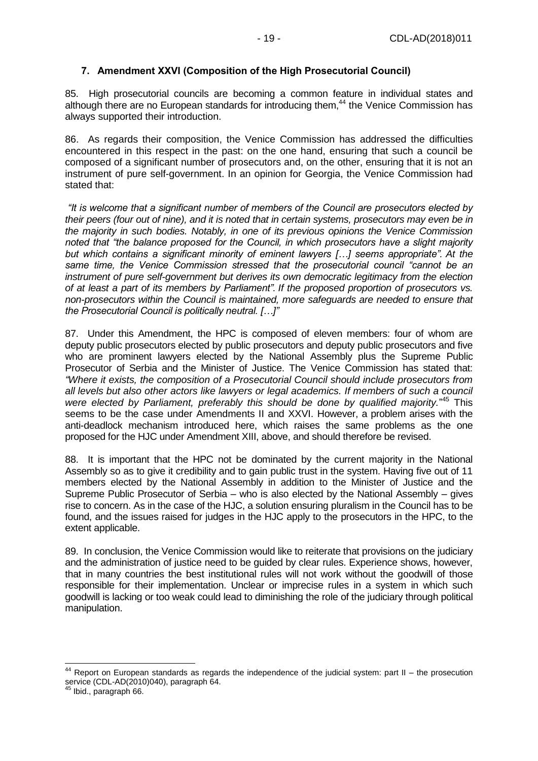### <span id="page-18-0"></span>**7. Amendment XXVI (Composition of the High Prosecutorial Council)**

85. High prosecutorial councils are becoming a common feature in individual states and although there are no European standards for introducing them,<sup>44</sup> the Venice Commission has always supported their introduction.

86. As regards their composition, the Venice Commission has addressed the difficulties encountered in this respect in the past: on the one hand, ensuring that such a council be composed of a significant number of prosecutors and, on the other, ensuring that it is not an instrument of pure self-government. In an opinion for Georgia, the Venice Commission had stated that:

*"It is welcome that a significant number of members of the Council are prosecutors elected by their peers (four out of nine), and it is noted that in certain systems, prosecutors may even be in the majority in such bodies. Notably, in one of its previous opinions the Venice Commission noted that "the balance proposed for the Council, in which prosecutors have a slight majority but which contains a significant minority of eminent lawyers […] seems appropriate". At the same time, the Venice Commission stressed that the prosecutorial council "cannot be an instrument of pure self-government but derives its own democratic legitimacy from the election of at least a part of its members by Parliament". If the proposed proportion of prosecutors vs. non-prosecutors within the Council is maintained, more safeguards are needed to ensure that the Prosecutorial Council is politically neutral. […]"*

87. Under this Amendment, the HPC is composed of eleven members: four of whom are deputy public prosecutors elected by public prosecutors and deputy public prosecutors and five who are prominent lawyers elected by the National Assembly plus the Supreme Public Prosecutor of Serbia and the Minister of Justice. The Venice Commission has stated that: *"Where it exists, the composition of a Prosecutorial Council should include prosecutors from all levels but also other actors like lawyers or legal academics. If members of such a council were elected by Parliament, preferably this should be done by qualified majority.*" <sup>45</sup> This seems to be the case under Amendments II and XXVI. However, a problem arises with the anti-deadlock mechanism introduced here, which raises the same problems as the one proposed for the HJC under Amendment XIII, above, and should therefore be revised.

88. It is important that the HPC not be dominated by the current majority in the National Assembly so as to give it credibility and to gain public trust in the system. Having five out of 11 members elected by the National Assembly in addition to the Minister of Justice and the Supreme Public Prosecutor of Serbia – who is also elected by the National Assembly – gives rise to concern. As in the case of the HJC, a solution ensuring pluralism in the Council has to be found, and the issues raised for judges in the HJC apply to the prosecutors in the HPC, to the extent applicable.

89. In conclusion, the Venice Commission would like to reiterate that provisions on the judiciary and the administration of justice need to be guided by clear rules. Experience shows, however, that in many countries the best institutional rules will not work without the goodwill of those responsible for their implementation. Unclear or imprecise rules in a system in which such goodwill is lacking or too weak could lead to diminishing the role of the judiciary through political manipulation.

 $44$  Report on European standards as regards the independence of the judicial system: part II – the prosecution service [\(CDL-AD\(2010\)040\)](http://www.venice.coe.int/webforms/documents/?pdf=CDL-AD(2010)040-e), paragraph 64.

Ibid., paragraph 66.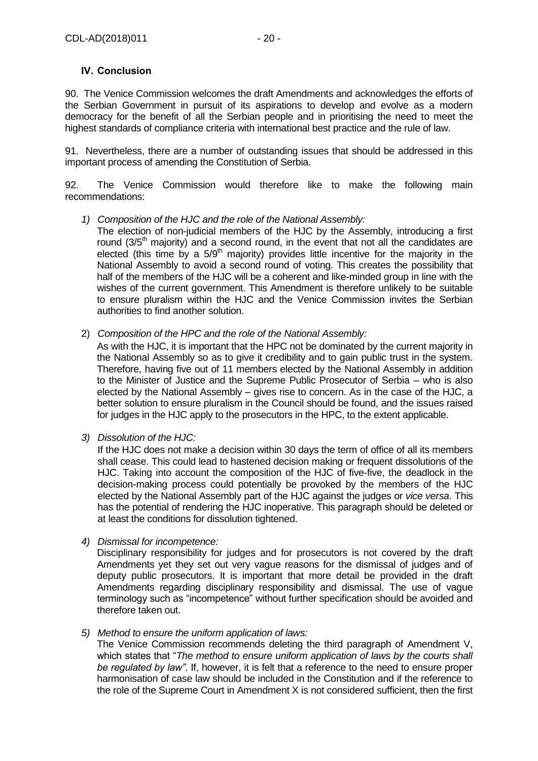## <span id="page-19-0"></span>**IV. Conclusion**

90. The Venice Commission welcomes the draft Amendments and acknowledges the efforts of the Serbian Government in pursuit of its aspirations to develop and evolve as a modern democracy for the benefit of all the Serbian people and in prioritising the need to meet the highest standards of compliance criteria with international best practice and the rule of law.

91. Nevertheless, there are a number of outstanding issues that should be addressed in this important process of amending the Constitution of Serbia.

92. The Venice Commission would therefore like to make the following main recommendations:

#### *1) Composition of the HJC and the role of the National Assembly:*

The election of non-judicial members of the HJC by the Assembly, introducing a first round  $(3/5<sup>th</sup>$  majority) and a second round, in the event that not all the candidates are elected (this time by a  $5/9$ <sup>th</sup> majority) provides little incentive for the majority in the National Assembly to avoid a second round of voting. This creates the possibility that half of the members of the HJC will be a coherent and like-minded group in line with the wishes of the current government. This Amendment is therefore unlikely to be suitable to ensure pluralism within the HJC and the Venice Commission invites the Serbian authorities to find another solution.

2) *Composition of the HPC and the role of the National Assembly:*

As with the HJC, it is important that the HPC not be dominated by the current majority in the National Assembly so as to give it credibility and to gain public trust in the system. Therefore, having five out of 11 members elected by the National Assembly in addition to the Minister of Justice and the Supreme Public Prosecutor of Serbia – who is also elected by the National Assembly – gives rise to concern. As in the case of the HJC, a better solution to ensure pluralism in the Council should be found, and the issues raised for judges in the HJC apply to the prosecutors in the HPC, to the extent applicable.

*3) Dissolution of the HJC:*

If the HJC does not make a decision within 30 days the term of office of all its members shall cease. This could lead to hastened decision making or frequent dissolutions of the HJC. Taking into account the composition of the HJC of five-five, the deadlock in the decision-making process could potentially be provoked by the members of the HJC elected by the National Assembly part of the HJC against the judges or *vice versa*. This has the potential of rendering the HJC inoperative. This paragraph should be deleted or at least the conditions for dissolution tightened.

*4) Dismissal for incompetence:*

Disciplinary responsibility for judges and for prosecutors is not covered by the draft Amendments yet they set out very vague reasons for the dismissal of judges and of deputy public prosecutors. It is important that more detail be provided in the draft Amendments regarding disciplinary responsibility and dismissal. The use of vague terminology such as "incompetence" without further specification should be avoided and therefore taken out.

#### *5) Method to ensure the uniform application of laws:*

The Venice Commission recommends deleting the third paragraph of Amendment V, which states that "*The method to ensure uniform application of laws by the courts shall be regulated by law"*. If, however, it is felt that a reference to the need to ensure proper harmonisation of case law should be included in the Constitution and if the reference to the role of the Supreme Court in Amendment X is not considered sufficient, then the first